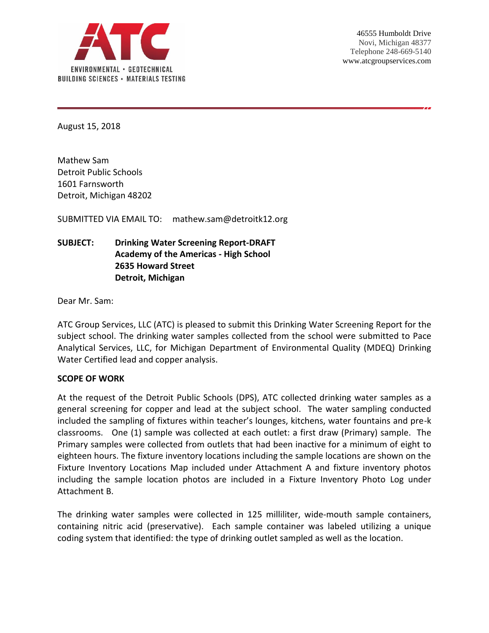

August 15, 2018

Mathew Sam Detroit Public Schools 1601 Farnsworth Detroit, Michigan 48202

SUBMITTED VIA EMAIL TO: mathew.sam@detroitk12.org

# **SUBJECT: Drinking Water Screening Report-DRAFT Academy of the Americas - High School 2635 Howard Street Detroit, Michigan**

Dear Mr. Sam:

ATC Group Services, LLC (ATC) is pleased to submit this Drinking Water Screening Report for the subject school. The drinking water samples collected from the school were submitted to Pace Analytical Services, LLC, for Michigan Department of Environmental Quality (MDEQ) Drinking Water Certified lead and copper analysis.

#### **SCOPE OF WORK**

At the request of the Detroit Public Schools (DPS), ATC collected drinking water samples as a general screening for copper and lead at the subject school. The water sampling conducted included the sampling of fixtures within teacher's lounges, kitchens, water fountains and pre-k classrooms. One (1) sample was collected at each outlet: a first draw (Primary) sample. The Primary samples were collected from outlets that had been inactive for a minimum of eight to eighteen hours. The fixture inventory locations including the sample locations are shown on the Fixture Inventory Locations Map included under Attachment A and fixture inventory photos including the sample location photos are included in a Fixture Inventory Photo Log under Attachment B.

The drinking water samples were collected in 125 milliliter, wide-mouth sample containers, containing nitric acid (preservative). Each sample container was labeled utilizing a unique coding system that identified: the type of drinking outlet sampled as well as the location.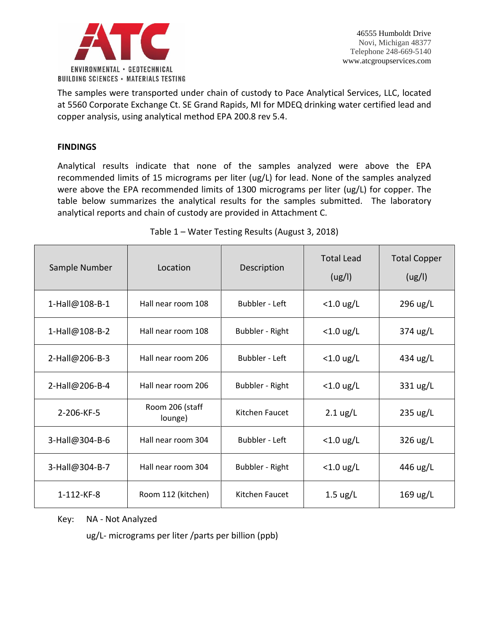

The samples were transported under chain of custody to Pace Analytical Services, LLC, located at 5560 Corporate Exchange Ct. SE Grand Rapids, MI for MDEQ drinking water certified lead and copper analysis, using analytical method EPA 200.8 rev 5.4.

## **FINDINGS**

Analytical results indicate that none of the samples analyzed were above the EPA recommended limits of 15 micrograms per liter (ug/L) for lead. None of the samples analyzed were above the EPA recommended limits of 1300 micrograms per liter (ug/L) for copper. The table below summarizes the analytical results for the samples submitted. The laboratory analytical reports and chain of custody are provided in Attachment C.

| Sample Number      | Location                   | Description           | <b>Total Lead</b><br>(ug/l) | <b>Total Copper</b><br>(ug/l) |
|--------------------|----------------------------|-----------------------|-----------------------------|-------------------------------|
| 1-Hall@108-B-1     | Hall near room 108         | <b>Bubbler - Left</b> | $<$ 1.0 ug/L                | 296 ug/L                      |
| 1-Hall@108-B-2     | Hall near room 108         | Bubbler - Right       | $<$ 1.0 ug/L                | 374 ug/L                      |
| 2-Hall@206-B-3     | Hall near room 206         | <b>Bubbler - Left</b> | $<$ 1.0 ug/L                | 434 ug/L                      |
| 2-Hall@206-B-4     | Hall near room 206         | Bubbler - Right       | $<$ 1.0 ug/L                | 331 ug/L                      |
| 2-206-KF-5         | Room 206 (staff<br>lounge) | Kitchen Faucet        | $2.1 \text{ ug/L}$          | $235 \text{ ug/L}$            |
| 3-Hall@304-B-6     | Hall near room 304         | <b>Bubbler - Left</b> | $<$ 1.0 ug/L                | $326 \text{ ug/L}$            |
| 3-Hall@304-B-7     | Hall near room 304         | Bubbler - Right       | $<$ 1.0 ug/L                | 446 ug/L                      |
| $1 - 112 - KF - 8$ | Room 112 (kitchen)         | Kitchen Faucet        | $1.5 \text{ ug/L}$          | $169 \text{ ug/L}$            |

Table 1 – Water Testing Results (August 3, 2018)

Key: NA - Not Analyzed

ug/L- micrograms per liter /parts per billion (ppb)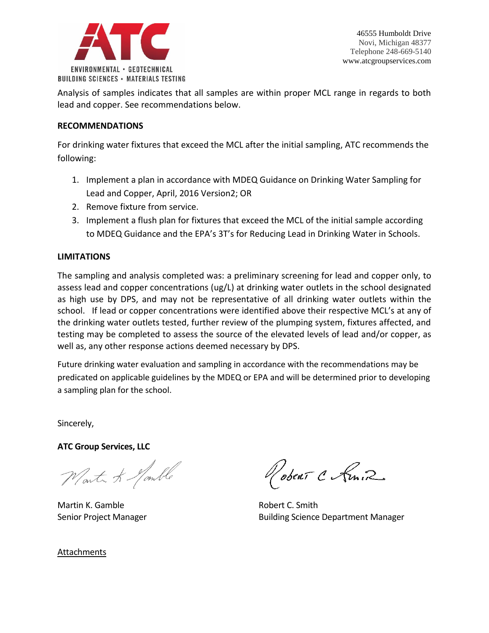

Analysis of samples indicates that all samples are within proper MCL range in regards to both lead and copper. See recommendations below.

## **RECOMMENDATIONS**

For drinking water fixtures that exceed the MCL after the initial sampling, ATC recommends the following:

- 1. Implement a plan in accordance with MDEQ Guidance on Drinking Water Sampling for Lead and Copper, April, 2016 Version2; OR
- 2. Remove fixture from service.
- 3. Implement a flush plan for fixtures that exceed the MCL of the initial sample according to MDEQ Guidance and the EPA's 3T's for Reducing Lead in Drinking Water in Schools.

## **LIMITATIONS**

The sampling and analysis completed was: a preliminary screening for lead and copper only, to assess lead and copper concentrations (ug/L) at drinking water outlets in the school designated as high use by DPS, and may not be representative of all drinking water outlets within the school. If lead or copper concentrations were identified above their respective MCL's at any of the drinking water outlets tested, further review of the plumping system, fixtures affected, and testing may be completed to assess the source of the elevated levels of lead and/or copper, as well as, any other response actions deemed necessary by DPS.

Future drinking water evaluation and sampling in accordance with the recommendations may be predicated on applicable guidelines by the MDEQ or EPA and will be determined prior to developing a sampling plan for the school.

Sincerely,

**ATC Group Services, LLC**

Worth & Jomble

Martin K. Gamble **Robert C. Smith** 

Robert C Amir

Senior Project Manager Building Science Department Manager

Attachments